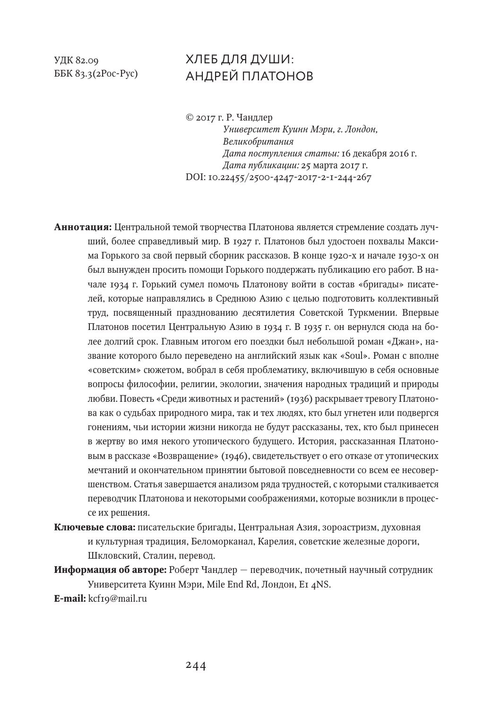УДК 82.09 ББК 83.3(2Рос-Рус)

# ХЛЕБ ДЛЯ ДУШИ: АНДРЕЙ ПЛАТОНОВ

© 2017 г. Р. Чандлер

*Университет Куинн Мэри, г. Лондон, Великобритания Дата поступления статьи:* 16 декабря 2016 г. *Дата публикации:* 25 марта 2017 г. DOI: 10.22455/2500-4247-2017-2-1-244-267

**Аннотация:** Центральной темой творчества Платонова является стремление создать лучший, более справедливый мир. В 1927 г. Платонов был удостоен похвалы Максима Горького за свой первый сборник рассказов. В конце 1920-х и начале 1930-х он был вынужден просить помощи Горького поддержать публикацию его работ. В начале 1934 г. Горький сумел помочь Платонову войти в состав «бригады» писателей, которые направлялись в Среднюю Азию с целью подготовить коллективный труд, посвященный празднованию десятилетия Советской Туркмении. Впервые Платонов посетил Центральную Азию в 1934 г. В 1935 г. он вернулся сюда на более долгий срок. Главным итогом его поездки был небольшой роман «Джан», название которого было переведено на английский язык как «Soul». Роман с вполне «советским» сюжетом, вобрал в себя проблематику, включившую в себя основные вопросы философии, религии, экологии, значения народных традиций и природы любви. Повесть «Среди животных и растений» (1936) раскрывает тревогу Платонова как о судьбах природного мира, так и тех людях, кто был угнетен или подвергся гонениям, чьи истории жизни никогда не будут рассказаны, тех, кто был принесен в жертву во имя некого утопического будущего. История, рассказанная Платоновым в рассказе «Возвращение» (1946), свидетельствует о его отказе от утопических мечтаний и окончательном принятии бытовой повседневности со всем ее несовершенством. Статья завершается анализом ряда трудностей, с которыми сталкивается переводчик Платонова и некоторыми соображениями, которые возникли в процессе их решения.

- **Ключевые слова:** писательские бригады, Центральная Азия, зороастризм, духовная и культурная традиция, Беломорканал, Карелия, советские железные дороги, Шкловский, Сталин, перевод.
- **Информация об авторе:** Роберт Чандлер переводчик, почетный научный сотрудник Университета Куинн Мэри, Mile End Rd, Лондон, E1 4NS.

**E-mail:** kcf19@mail.ru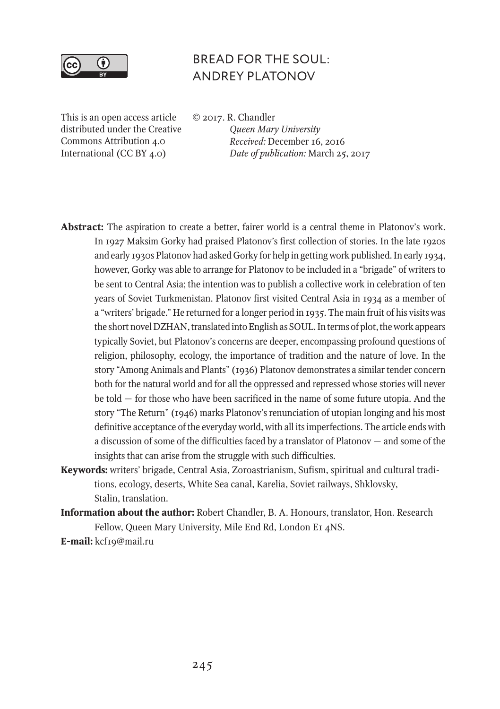

# BREAD FOR THE SOUL: ANDREY PLATONOV

This is an open access article distributed under the Creative Commons Attribution 4.0 International (CC BY 4.0)

© 2017. R. Chandler *Queen Mary University Received:* December 16, 2016 *Date of publication:* March 25, 2017

- **Abstract:** The aspiration to create a better, fairer world is a central theme in Platonov's work. In 1927 Maksim Gorky had praised Platonov's first collection of stories. In the late 1920s and early 1930s Platonov had asked Gorky for help in getting work published. In early 1934, however, Gorky was able to arrange for Platonov to be included in a "brigade" of writers to be sent to Central Asia; the intention was to publish a collective work in celebration of ten years of Soviet Turkmenistan. Platonov first visited Central Asia in 1934 as a member of a "writers' brigade." He returned for a longer period in 1935. The main fruit of his visits was the short novel DZHAN, translated into English as SOUL. In terms of plot, the work appears typically Soviet, but Platonov's concerns are deeper, encompassing profound questions of religion, philosophy, ecology, the importance of tradition and the nature of love. In the story "Among Animals and Plants" (1936) Platonov demonstrates a similar tender concern both for the natural world and for all the oppressed and repressed whose stories will never be told — for those who have been sacrificed in the name of some future utopia. And the story "The Return" (1946) marks Platonov's renunciation of utopian longing and his most definitive acceptance of the everyday world, with all its imperfections. The article ends with a discussion of some of the difficulties faced by a translator of Platonov — and some of the insights that can arise from the struggle with such difficulties.
- **Keywords:** writers' brigade, Central Asia, Zoroastrianism, Sufism, spiritual and cultural traditions, ecology, deserts, White Sea canal, Karelia, Soviet railways, Shklovsky, Stalin, translation.
- **Information about the author:** Robert Chandler, B. A. Honours, translator, Hon. Research Fellow, Queen Mary University, Mile End Rd, London E1 4NS.

**E-mail:** kcf19@mail.ru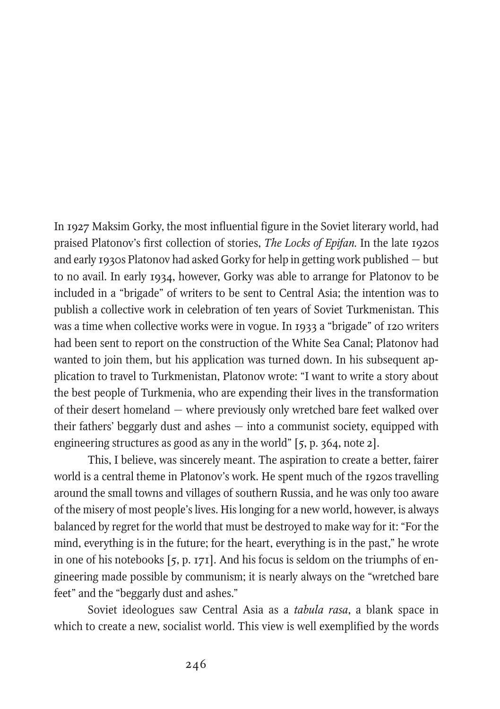In 1927 Maksim Gorky, the most influential figure in the Soviet literary world, had praised Platonov's first collection of stories, *The Locks of Epifan.* In the late 1920s and early 1930s Platonov had asked Gorky for help in getting work published — but to no avail. In early 1934, however, Gorky was able to arrange for Platonov to be included in a "brigade" of writers to be sent to Central Asia; the intention was to publish a collective work in celebration of ten years of Soviet Turkmenistan. This was a time when collective works were in vogue. In 1933 a "brigade" of 120 writers had been sent to report on the construction of the White Sea Canal; Platonov had wanted to join them, but his application was turned down. In his subsequent application to travel to Turkmenistan, Platonov wrote: "I want to write a story about the best people of Turkmenia, who are expending their lives in the transformation of their desert homeland — where previously only wretched bare feet walked over their fathers' beggarly dust and ashes  $-$  into a communist society, equipped with engineering structures as good as any in the world" [5, p. 364, note 2].

This, I believe, was sincerely meant. The aspiration to create a better, fairer world is a central theme in Platonov's work. He spent much of the 1920s travelling around the small towns and villages of southern Russia, and he was only too aware of the misery of most people's lives. His longing for a new world, however, is always balanced by regret for the world that must be destroyed to make way for it: "For the mind, everything is in the future; for the heart, everything is in the past," he wrote in one of his notebooks [5, p. 171]. And his focus is seldom on the triumphs of engineering made possible by communism; it is nearly always on the "wretched bare feet" and the "beggarly dust and ashes."

Soviet ideologues saw Central Asia as a *tabula rasa*, a blank space in which to create a new, socialist world. This view is well exemplified by the words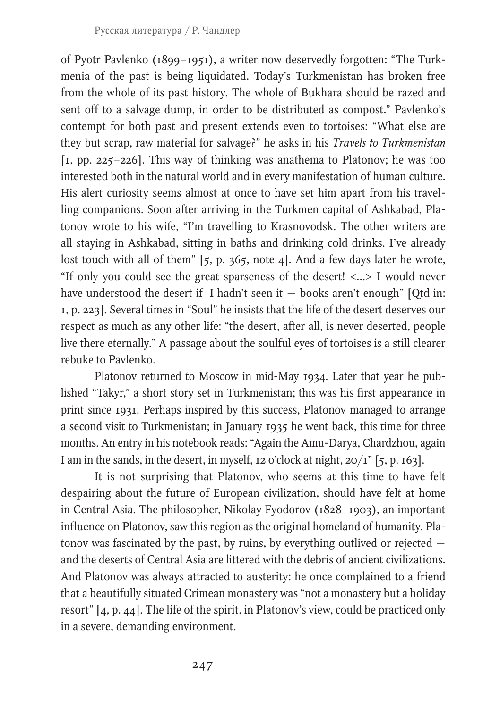of Pyotr Pavlenko (1899–1951), a writer now deservedly forgotten: "The Turkmenia of the past is being liquidated. Today's Turkmenistan has broken free from the whole of its past history. The whole of Bukhara should be razed and sent off to a salvage dump, in order to be distributed as compost." Pavlenko's contempt for both past and present extends even to tortoises: "What else are they but scrap, raw material for salvage?" he asks in his *Travels to Turkmenistan* [1, pp. 225–226]. This way of thinking was anathema to Platonov; he was too interested both in the natural world and in every manifestation of human culture. His alert curiosity seems almost at once to have set him apart from his travelling companions. Soon after arriving in the Turkmen capital of Ashkabad, Platonov wrote to his wife, "I'm travelling to Krasnovodsk. The other writers are all staying in Ashkabad, sitting in baths and drinking cold drinks. I've already lost touch with all of them" [5, p. 365, note 4]. And a few days later he wrote, "If only you could see the great sparseness of the desert! <...> I would never have understood the desert if I hadn't seen it — books aren't enough" [Qtd in: 1, p. 223]. Several times in "Soul" he insists that the life of the desert deserves our respect as much as any other life: "the desert, after all, is never deserted, people live there eternally." A passage about the soulful eyes of tortoises is a still clearer rebuke to Pavlenko.

Platonov returned to Moscow in mid-May 1934. Later that year he published "Takyr," a short story set in Turkmenistan; this was his first appearance in print since 1931. Perhaps inspired by this success, Platonov managed to arrange a second visit to Turkmenistan; in January 1935 he went back, this time for three months. An entry in his notebook reads: "Again the Amu-Darya, Chardzhou, again I am in the sands, in the desert, in myself, 12 o'clock at night, 20/1" [5, p. 163].

It is not surprising that Platonov, who seems at this time to have felt despairing about the future of European civilization, should have felt at home in Central Asia. The philosopher, Nikolay Fyodorov (1828–1903), an important influence on Platonov, saw this region as the original homeland of humanity. Platonov was fascinated by the past, by ruins, by everything outlived or rejected  $$ and the deserts of Central Asia are littered with the debris of ancient civilizations. And Platonov was always attracted to austerity: he once complained to a friend that a beautifully situated Crimean monastery was "not a monastery but a holiday resort" [4, p. 44]. The life of the spirit, in Platonov's view, could be practiced only in a severe, demanding environment.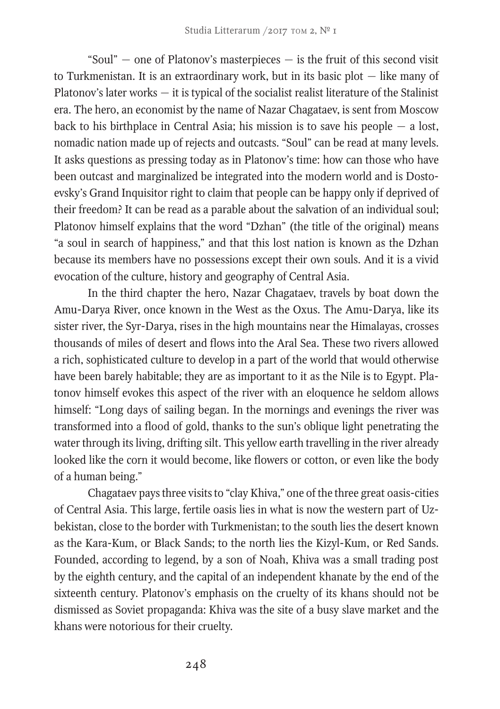"Soul" — one of Platonov's masterpieces — is the fruit of this second visit to Turkmenistan. It is an extraordinary work, but in its basic plot — like many of Platonov's later works  $-$  it is typical of the socialist realist literature of the Stalinist era. The hero, an economist by the name of Nazar Chagataev, is sent from Moscow back to his birthplace in Central Asia; his mission is to save his people  $-$  a lost, nomadic nation made up of rejects and outcasts. "Soul" can be read at many levels. It asks questions as pressing today as in Platonov's time: how can those who have been outcast and marginalized be integrated into the modern world and is Dostoevsky's Grand Inquisitor right to claim that people can be happy only if deprived of their freedom? It can be read as a parable about the salvation of an individual soul; Platonov himself explains that the word "Dzhan" (the title of the original) means "a soul in search of happiness," and that this lost nation is known as the Dzhan because its members have no possessions except their own souls. And it is a vivid evocation of the culture, history and geography of Central Asia.

In the third chapter the hero, Nazar Chagataev, travels by boat down the Amu-Darya River, once known in the West as the Oxus. The Amu-Darya, like its sister river, the Syr-Darya, rises in the high mountains near the Himalayas, crosses thousands of miles of desert and flows into the Aral Sea. These two rivers allowed a rich, sophisticated culture to develop in a part of the world that would otherwise have been barely habitable; they are as important to it as the Nile is to Egypt. Platonov himself evokes this aspect of the river with an eloquence he seldom allows himself: "Long days of sailing began. In the mornings and evenings the river was transformed into a flood of gold, thanks to the sun's oblique light penetrating the water through its living, drifting silt. This yellow earth travelling in the river already looked like the corn it would become, like flowers or cotton, or even like the body of a human being."

Chagataev pays three visits to "clay Khiva," one of the three great oasis-cities of Central Asia. This large, fertile oasis lies in what is now the western part of Uzbekistan, close to the border with Turkmenistan; to the south lies the desert known as the Kara-Kum, or Black Sands; to the north lies the Kizyl-Kum, or Red Sands. Founded, according to legend, by a son of Noah, Khiva was a small trading post by the eighth century, and the capital of an independent khanate by the end of the sixteenth century. Platonov's emphasis on the cruelty of its khans should not be dismissed as Soviet propaganda: Khiva was the site of a busy slave market and the khans were notorious for their cruelty.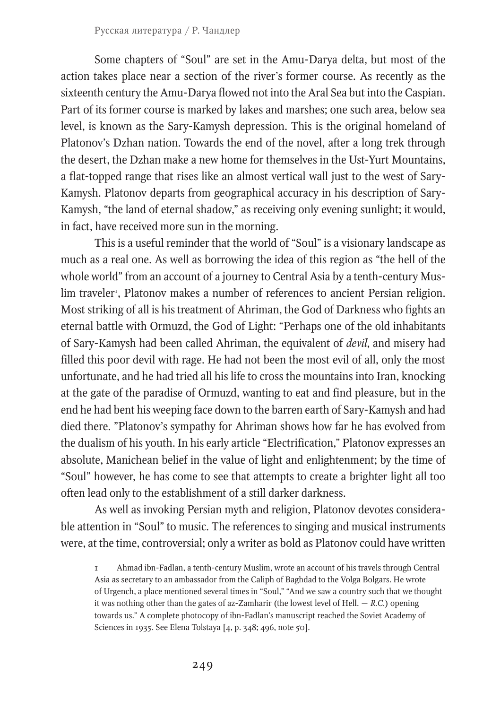Some chapters of "Soul" are set in the Amu-Darya delta, but most of the action takes place near a section of the river's former course. As recently as the sixteenth century the Amu-Darya flowed not into the Aral Sea but into the Caspian. Part of its former course is marked by lakes and marshes; one such area, below sea level, is known as the Sary-Kamysh depression. This is the original homeland of Platonov's Dzhan nation. Towards the end of the novel, after a long trek through the desert, the Dzhan make a new home for themselves in the Ust-Yurt Mountains, a flat-topped range that rises like an almost vertical wall just to the west of Sary-Kamysh. Platonov departs from geographical accuracy in his description of Sary-Kamysh, "the land of eternal shadow," as receiving only evening sunlight; it would, in fact, have received more sun in the morning.

This is a useful reminder that the world of "Soul" is a visionary landscape as much as a real one. As well as borrowing the idea of this region as "the hell of the whole world" from an account of a journey to Central Asia by a tenth-century Muslim traveler<sup>1</sup>, Platonov makes a number of references to ancient Persian religion. Most striking of all is his treatment of Ahriman, the God of Darkness who fights an eternal battle with Ormuzd, the God of Light: "Perhaps one of the old inhabitants of Sary-Kamysh had been called Ahriman, the equivalent of *devil*, and misery had filled this poor devil with rage. He had not been the most evil of all, only the most unfortunate, and he had tried all his life to cross the mountains into Iran, knocking at the gate of the paradise of Ormuzd, wanting to eat and find pleasure, but in the end he had bent his weeping face down to the barren earth of Sary-Kamysh and had died there. "Platonov's sympathy for Ahriman shows how far he has evolved from the dualism of his youth. In his early article "Electrification," Platonov expresses an absolute, Manichean belief in the value of light and enlightenment; by the time of "Soul" however, he has come to see that attempts to create a brighter light all too often lead only to the establishment of a still darker darkness.

As well as invoking Persian myth and religion, Platonov devotes considerable attention in "Soul" to music. The references to singing and musical instruments were, at the time, controversial; only a writer as bold as Platonov could have written

1 Ahmad ibn-Fadlan, a tenth-century Muslim, wrote an account of his travels through Central Asia as secretary to an ambassador from the Caliph of Baghdad to the Volga Bolgars. He wrote of Urgench, a place mentioned several times in "Soul," "And we saw a country such that we thought it was nothing other than the gates of az-Zamharir (the lowest level of Hell. — *R.C.*) opening towards us." A complete photocopy of ibn-Fadlan's manuscript reached the Soviet Academy of Sciences in 1935. See Elena Tolstaya [4, p. 348; 496, note 50].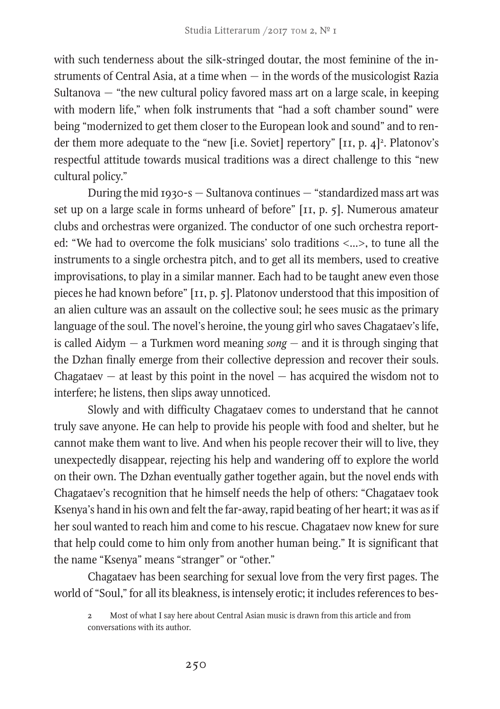with such tenderness about the silk-stringed doutar, the most feminine of the instruments of Central Asia, at a time when — in the words of the musicologist Razia Sultanova — "the new cultural policy favored mass art on a large scale, in keeping with modern life," when folk instruments that "had a soft chamber sound" were being "modernized to get them closer to the European look and sound" and to render them more adequate to the "new [i.e. Soviet] repertory"  $\lbrack$  II, p. 4]<sup>2</sup>. Platonov's respectful attitude towards musical traditions was a direct challenge to this "new cultural policy."

During the mid 1930-s  $-$  Sultanova continues  $-$  "standardized mass art was set up on a large scale in forms unheard of before" [11, p. 5]. Numerous amateur clubs and orchestras were organized. The conductor of one such orchestra reported: "We had to overcome the folk musicians' solo traditions <...>, to tune all the instruments to a single orchestra pitch, and to get all its members, used to creative improvisations, to play in a similar manner. Each had to be taught anew even those pieces he had known before" [11, p. 5]. Platonov understood that this imposition of an alien culture was an assault on the collective soul; he sees music as the primary language of the soul. The novel's heroine, the young girl who saves Chagataev's life, is called Aidym — a Turkmen word meaning *song —* and it is through singing that the Dzhan finally emerge from their collective depression and recover their souls. Chagataev  $-$  at least by this point in the novel  $-$  has acquired the wisdom not to interfere; he listens, then slips away unnoticed.

Slowly and with difficulty Chagataev comes to understand that he cannot truly save anyone. He can help to provide his people with food and shelter, but he cannot make them want to live. And when his people recover their will to live, they unexpectedly disappear, rejecting his help and wandering off to explore the world on their own. The Dzhan eventually gather together again, but the novel ends with Chagataev's recognition that he himself needs the help of others: "Chagataev took Ksenya's hand in his own and felt the far-away, rapid beating of her heart; it was as if her soul wanted to reach him and come to his rescue. Chagataev now knew for sure that help could come to him only from another human being." It is significant that the name "Ksenya" means "stranger" or "other."

Chagataev has been searching for sexual love from the very first pages. The world of "Soul," for all its bleakness, is intensely erotic; it includes references to bes-

<sup>2</sup> Most of what I say here about Central Asian music is drawn from this article and from conversations with its author.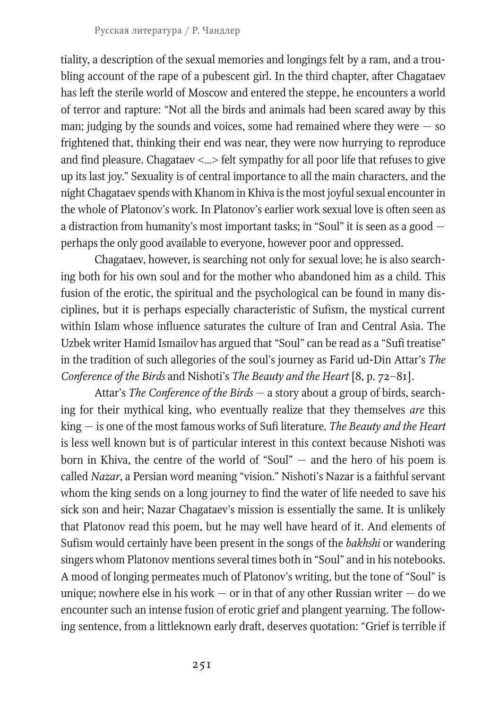tiality, a description of the sexual memories and longings felt by a ram, and a troubling account of the rape of a pubescent girl. In the third chapter, after Chagataev has left the sterile world of Moscow and entered the steppe, he encounters a world of terror and rapture: "Not all the birds and animals had been scared away by this man; judging by the sounds and voices, some had remained where they were  $-$  so frightened that, thinking their end was near, they were now hurrying to reproduce and find pleasure. Chagataev <…> felt sympathy for all poor life that refuses to give up its last joy." Sexuality is of central importance to all the main characters, and the night Chagataev spends with Khanom in Khiva is the most joyful sexual encounter in the whole of Platonov's work. In Platonov's earlier work sexual love is often seen as a distraction from humanity's most important tasks; in "Soul" it is seen as a good perhaps the only good available to everyone, however poor and oppressed.

Chagataev, however, is searching not only for sexual love; he is also searching both for his own soul and for the mother who abandoned him as a child. This fusion of the erotic, the spiritual and the psychological can be found in many disciplines, but it is perhaps especially characteristic of Sufism, the mystical current within Islam whose influence saturates the culture of Iran and Central Asia. The Uzbek writer Hamid Ismailov has argued that "Soul" can be read as a "Sufi treatise" in the tradition of such allegories of the soul's journey as Farid ud-Din Attar's *The Conference of the Birds* and Nishoti's *The Beauty and the Heart* [8, p. 72–81].

Attar's *The Conference of the Birds —* a story about a group of birds, searching for their mythical king, who eventually realize that they themselves *are* this king — is one of the most famous works of Sufi literature. *The Beauty and the Heart* is less well known but is of particular interest in this context because Nishoti was born in Khiva, the centre of the world of "Soul" — and the hero of his poem is called *Nazar*, a Persian word meaning "vision." Nishoti's Nazar is a faithful servant whom the king sends on a long journey to find the water of life needed to save his sick son and heir; Nazar Chagataev's mission is essentially the same. It is unlikely that Platonov read this poem, but he may well have heard of it. And elements of Sufism would certainly have been present in the songs of the *bakhshi* or wandering singers whom Platonov mentions several times both in "Soul" and in his notebooks. A mood of longing permeates much of Platonov's writing, but the tone of "Soul" is unique; nowhere else in his work  $-$  or in that of any other Russian writer  $-$  do we encounter such an intense fusion of erotic grief and plangent yearning. The following sentence, from a littleknown early draft, deserves quotation: "Grief is terrible if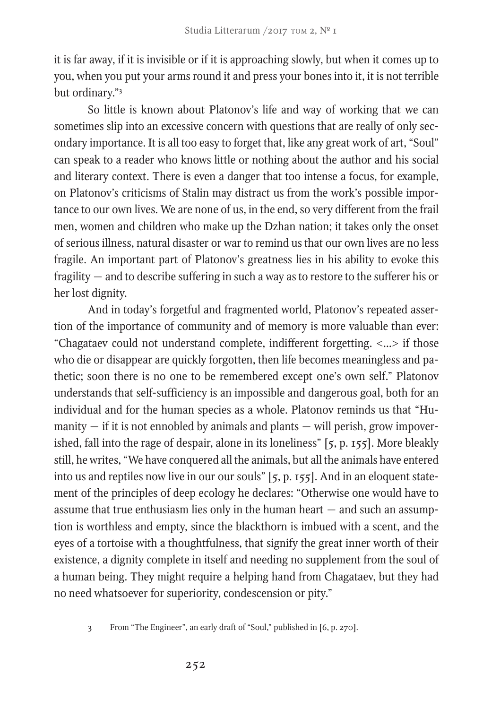it is far away, if it is invisible or if it is approaching slowly, but when it comes up to you, when you put your arms round it and press your bones into it, it is not terrible but ordinary."3

So little is known about Platonov's life and way of working that we can sometimes slip into an excessive concern with questions that are really of only secondary importance. It is all too easy to forget that, like any great work of art, "Soul" can speak to a reader who knows little or nothing about the author and his social and literary context. There is even a danger that too intense a focus, for example, on Platonov's criticisms of Stalin may distract us from the work's possible importance to our own lives. We are none of us, in the end, so very different from the frail men, women and children who make up the Dzhan nation; it takes only the onset of serious illness, natural disaster or war to remind us that our own lives are no less fragile. An important part of Platonov's greatness lies in his ability to evoke this fragility — and to describe suffering in such a way as to restore to the sufferer his or her lost dignity.

And in today's forgetful and fragmented world, Platonov's repeated assertion of the importance of community and of memory is more valuable than ever: "Chagataev could not understand complete, indifferent forgetting. <...> if those who die or disappear are quickly forgotten, then life becomes meaningless and pathetic; soon there is no one to be remembered except one's own self." Platonov understands that self-sufficiency is an impossible and dangerous goal, both for an individual and for the human species as a whole. Platonov reminds us that "Humanity  $-$  if it is not ennobled by animals and plants  $-$  will perish, grow impoverished, fall into the rage of despair, alone in its loneliness" [5, p. 155]. More bleakly still, he writes, "We have conquered all the animals, but all the animals have entered into us and reptiles now live in our our souls" [5, p. 155]. And in an eloquent statement of the principles of deep ecology he declares: "Otherwise one would have to assume that true enthusiasm lies only in the human heart — and such an assumption is worthless and empty, since the blackthorn is imbued with a scent, and the eyes of a tortoise with a thoughtfulness, that signify the great inner worth of their existence, a dignity complete in itself and needing no supplement from the soul of a human being. They might require a helping hand from Chagataev, but they had no need whatsoever for superiority, condescension or pity."

<sup>3</sup> From "The Engineer", an early draft of "Soul," published in [6, p. 270].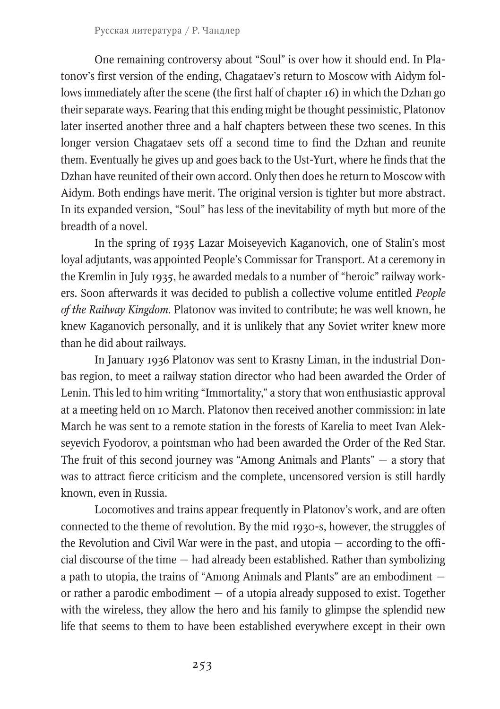One remaining controversy about "Soul" is over how it should end. In Platonov's first version of the ending, Chagataev's return to Moscow with Aidym follows immediately after the scene (the first half of chapter 16) in which the Dzhan go their separate ways. Fearing that this ending might be thought pessimistic, Platonov later inserted another three and a half chapters between these two scenes. In this longer version Chagataev sets off a second time to find the Dzhan and reunite them. Eventually he gives up and goes back to the Ust-Yurt, where he finds that the Dzhan have reunited of their own accord. Only then does he return to Moscow with Aidym. Both endings have merit. The original version is tighter but more abstract. In its expanded version, "Soul" has less of the inevitability of myth but more of the breadth of a novel.

In the spring of 1935 Lazar Moiseyevich Kaganovich, one of Stalin's most loyal adjutants, was appointed People's Commissar for Transport. At a ceremony in the Kremlin in July 1935, he awarded medals to a number of "heroic" railway workers. Soon afterwards it was decided to publish a collective volume entitled *People of the Railway Kingdom*. Platonov was invited to contribute; he was well known, he knew Kaganovich personally, and it is unlikely that any Soviet writer knew more than he did about railways.

In January 1936 Platonov was sent to Krasny Liman, in the industrial Donbas region, to meet a railway station director who had been awarded the Order of Lenin. This led to him writing "Immortality," a story that won enthusiastic approval at a meeting held on 10 March. Platonov then received another commission: in late March he was sent to a remote station in the forests of Karelia to meet Ivan Alekseyevich Fyodorov, a pointsman who had been awarded the Order of the Red Star. The fruit of this second journey was "Among Animals and Plants" — a story that was to attract fierce criticism and the complete, uncensored version is still hardly known, even in Russia.

Locomotives and trains appear frequently in Platonov's work, and are often connected to the theme of revolution. By the mid 1930-s, however, the struggles of the Revolution and Civil War were in the past, and utopia — according to the official discourse of the time — had already been established. Rather than symbolizing a path to utopia, the trains of "Among Animals and Plants" are an embodiment or rather a parodic embodiment  $-$  of a utopia already supposed to exist. Together with the wireless, they allow the hero and his family to glimpse the splendid new life that seems to them to have been established everywhere except in their own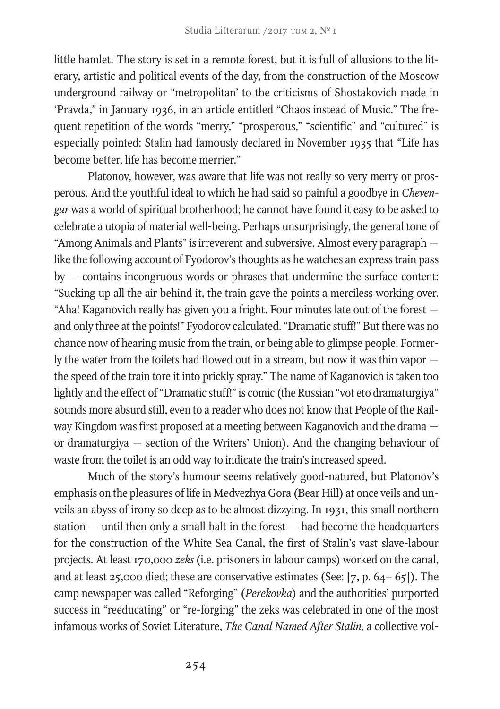little hamlet. The story is set in a remote forest, but it is full of allusions to the literary, artistic and political events of the day, from the construction of the Moscow underground railway or "metropolitan' to the criticisms of Shostakovich made in 'Pravda," in January 1936, in an article entitled "Chaos instead of Music." The frequent repetition of the words "merry," "prosperous," "scientific" and "cultured" is especially pointed: Stalin had famously declared in November 1935 that "Life has become better, life has become merrier."

Platonov, however, was aware that life was not really so very merry or prosperous. And the youthful ideal to which he had said so painful a goodbye in *Chevengur* was a world of spiritual brotherhood; he cannot have found it easy to be asked to celebrate a utopia of material well-being. Perhaps unsurprisingly, the general tone of "Among Animals and Plants" is irreverent and subversive. Almost every paragraph like the following account of Fyodorov's thoughts as he watches an express train pass  $by -$  contains incongruous words or phrases that undermine the surface content: "Sucking up all the air behind it, the train gave the points a merciless working over. "Aha! Kaganovich really has given you a fright. Four minutes late out of the forest and only three at the points!" Fyodorov calculated. "Dramatic stuff!" But there was no chance now of hearing music from the train, or being able to glimpse people. Formerly the water from the toilets had flowed out in a stream, but now it was thin vapor the speed of the train tore it into prickly spray." The name of Kaganovich is taken too lightly and the effect of "Dramatic stuff!" is comic (the Russian "vot eto dramaturgiya" sounds more absurd still, even to a reader who does not know that People of the Railway Kingdom was first proposed at a meeting between Kaganovich and the drama or dramaturgiya — section of the Writers' Union). And the changing behaviour of waste from the toilet is an odd way to indicate the train's increased speed.

Much of the story's humour seems relatively good-natured, but Platonov's emphasis on the pleasures of life in Medvezhya Gora (Bear Hill) at once veils and unveils an abyss of irony so deep as to be almost dizzying. In 1931, this small northern station — until then only a small halt in the forest — had become the headquarters for the construction of the White Sea Canal, the first of Stalin's vast slave-labour projects. At least 170,000 *zeks* (i.e. prisoners in labour camps) worked on the canal, and at least 25,000 died; these are conservative estimates (See: [7, p. 64– 65]). The camp newspaper was called "Reforging" (*Perekovka*) and the authorities' purported success in "reeducating" or "re-forging" the zeks was celebrated in one of the most infamous works of Soviet Literature, *The Canal Named After Stalin*, a collective vol-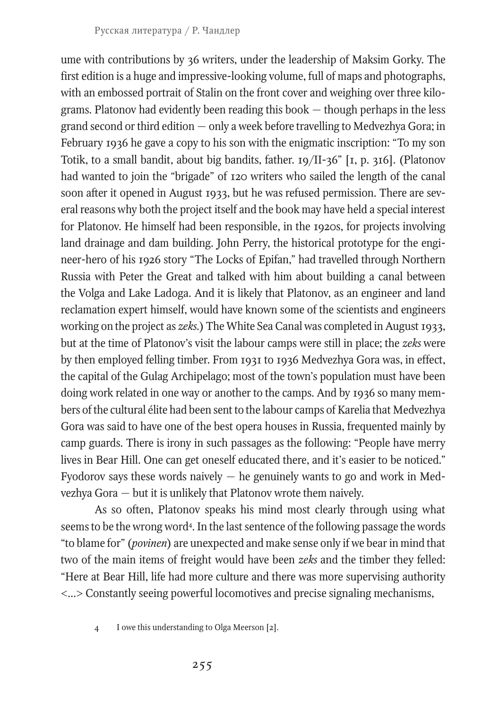ume with contributions by 36 writers, under the leadership of Maksim Gorky. The first edition is a huge and impressive-looking volume, full of maps and photographs, with an embossed portrait of Stalin on the front cover and weighing over three kilograms. Platonov had evidently been reading this book — though perhaps in the less grand second or third edition — only a week before travelling to Medvezhya Gora; in February 1936 he gave a copy to his son with the enigmatic inscription: "To my son Totik, to a small bandit, about big bandits, father. 19/II-36" [1, p. 316]. (Platonov had wanted to join the "brigade" of 120 writers who sailed the length of the canal soon after it opened in August 1933, but he was refused permission. There are several reasons why both the project itself and the book may have held a special interest for Platonov. He himself had been responsible, in the 1920s, for projects involving land drainage and dam building. John Perry, the historical prototype for the engineer-hero of his 1926 story "The Locks of Epifan," had travelled through Northern Russia with Peter the Great and talked with him about building a canal between the Volga and Lake Ladoga. And it is likely that Platonov, as an engineer and land reclamation expert himself, would have known some of the scientists and engineers working on the project as *zeks*.) The White Sea Canal was completed in August 1933, but at the time of Platonov's visit the labour camps were still in place; the *zeks* were by then employed felling timber. From 1931 to 1936 Medvezhya Gora was, in effect, the capital of the Gulag Archipelago; most of the town's population must have been doing work related in one way or another to the camps. And by 1936 so many members of the cultural élite had been sent to the labour camps of Karelia that Medvezhya Gora was said to have one of the best opera houses in Russia, frequented mainly by camp guards. There is irony in such passages as the following: "People have merry lives in Bear Hill. One can get oneself educated there, and it's easier to be noticed." Fyodorov says these words naively  $-$  he genuinely wants to go and work in Medvezhya Gora — but it is unlikely that Platonov wrote them naively.

As so often, Platonov speaks his mind most clearly through using what seems to be the wrong word4 . In the last sentence of the following passage the words "to blame for" (*povinen*) are unexpected and make sense only if we bear in mind that two of the main items of freight would have been *zeks* and the timber they felled: "Here at Bear Hill, life had more culture and there was more supervising authority <...> Constantly seeing powerful locomotives and precise signaling mechanisms,

4 I owe this understanding to Olga Meerson [2].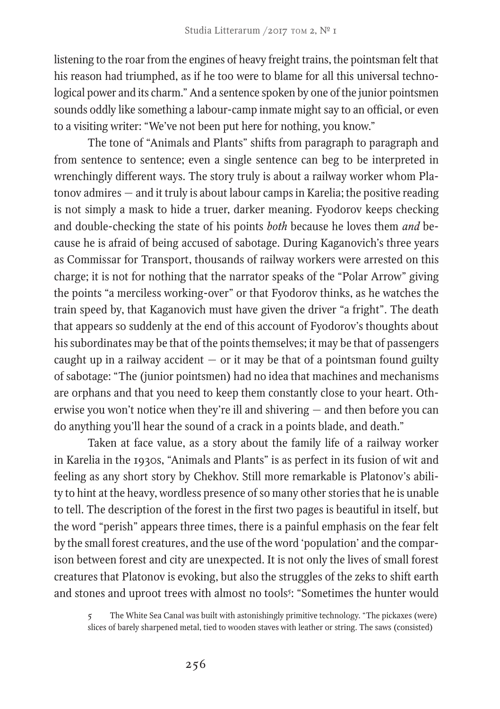listening to the roar from the engines of heavy freight trains, the pointsman felt that his reason had triumphed, as if he too were to blame for all this universal technological power and its charm." And a sentence spoken by one of the junior pointsmen sounds oddly like something a labour-camp inmate might say to an official, or even to a visiting writer: "We've not been put here for nothing, you know."

The tone of "Animals and Plants" shifts from paragraph to paragraph and from sentence to sentence; even a single sentence can beg to be interpreted in wrenchingly different ways. The story truly is about a railway worker whom Platonov admires — and it truly is about labour camps in Karelia; the positive reading is not simply a mask to hide a truer, darker meaning. Fyodorov keeps checking and double-checking the state of his points *both* because he loves them *and* because he is afraid of being accused of sabotage. During Kaganovich's three years as Commissar for Transport, thousands of railway workers were arrested on this charge; it is not for nothing that the narrator speaks of the "Polar Arrow" giving the points "a merciless working-over" or that Fyodorov thinks, as he watches the train speed by, that Kaganovich must have given the driver "a fright". The death that appears so suddenly at the end of this account of Fyodorov's thoughts about his subordinates may be that of the points themselves; it may be that of passengers caught up in a railway accident  $-$  or it may be that of a pointsman found guilty of sabotage: "The (junior pointsmen) had no idea that machines and mechanisms are orphans and that you need to keep them constantly close to your heart. Otherwise you won't notice when they're ill and shivering — and then before you can do anything you'll hear the sound of a crack in a points blade, and death."

Taken at face value, as a story about the family life of a railway worker in Karelia in the 1930s, "Animals and Plants" is as perfect in its fusion of wit and feeling as any short story by Chekhov. Still more remarkable is Platonov's ability to hint at the heavy, wordless presence of so many other stories that he is unable to tell. The description of the forest in the first two pages is beautiful in itself, but the word "perish" appears three times, there is a painful emphasis on the fear felt by the small forest creatures, and the use of the word 'population' and the comparison between forest and city are unexpected. It is not only the lives of small forest creatures that Platonov is evoking, but also the struggles of the zeks to shift earth and stones and uproot trees with almost no tools<sup>5</sup>: "Sometimes the hunter would

<sup>5</sup> The White Sea Canal was built with astonishingly primitive technology. "The pickaxes (were) slices of barely sharpened metal, tied to wooden staves with leather or string. The saws (consisted)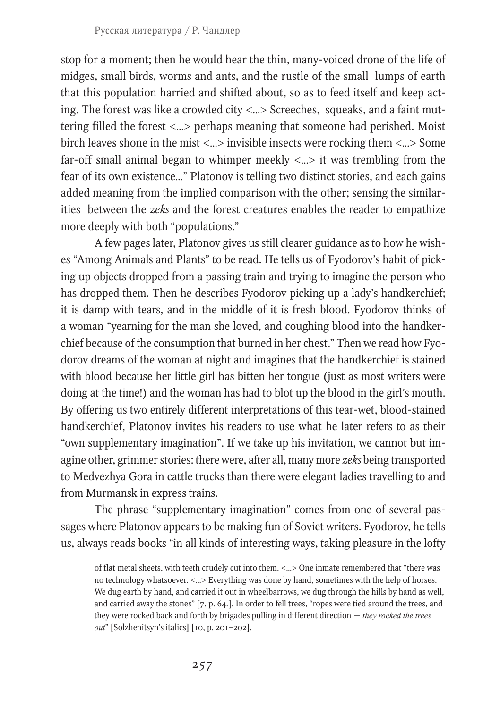stop for a moment; then he would hear the thin, many-voiced drone of the life of midges, small birds, worms and ants, and the rustle of the small lumps of earth that this population harried and shifted about, so as to feed itself and keep acting. The forest was like a crowded city <…> Screeches, squeaks, and a faint muttering filled the forest <…> perhaps meaning that someone had perished. Moist birch leaves shone in the mist <…> invisible insects were rocking them <…> Some far-off small animal began to whimper meekly <…> it was trembling from the fear of its own existence…" Platonov is telling two distinct stories, and each gains added meaning from the implied comparison with the other; sensing the similarities between the *zeks* and the forest creatures enables the reader to empathize more deeply with both "populations."

A few pages later, Platonov gives us still clearer guidance as to how he wishes "Among Animals and Plants" to be read. He tells us of Fyodorov's habit of picking up objects dropped from a passing train and trying to imagine the person who has dropped them. Then he describes Fyodorov picking up a lady's handkerchief; it is damp with tears, and in the middle of it is fresh blood. Fyodorov thinks of a woman "yearning for the man she loved, and coughing blood into the handkerchief because of the consumption that burned in her chest." Then we read how Fyodorov dreams of the woman at night and imagines that the handkerchief is stained with blood because her little girl has bitten her tongue (just as most writers were doing at the time!) and the woman has had to blot up the blood in the girl's mouth. By offering us two entirely different interpretations of this tear-wet, blood-stained handkerchief, Platonov invites his readers to use what he later refers to as their "own supplementary imagination". If we take up his invitation, we cannot but imagine other, grimmer stories: there were, after all, many more *zeks* being transported to Medvezhya Gora in cattle trucks than there were elegant ladies travelling to and from Murmansk in express trains.

The phrase "supplementary imagination" comes from one of several passages where Platonov appears to be making fun of Soviet writers. Fyodorov, he tells us, always reads books "in all kinds of interesting ways, taking pleasure in the lofty

of flat metal sheets, with teeth crudely cut into them. <…> One inmate remembered that "there was no technology whatsoever. <…> Everything was done by hand, sometimes with the help of horses. We dug earth by hand, and carried it out in wheelbarrows, we dug through the hills by hand as well, and carried away the stones" [7, p. 64.]. In order to fell trees, "ropes were tied around the trees, and they were rocked back and forth by brigades pulling in different direction — *they rocked the trees out*" [Solzhenitsyn's italics] [10, p. 201–202].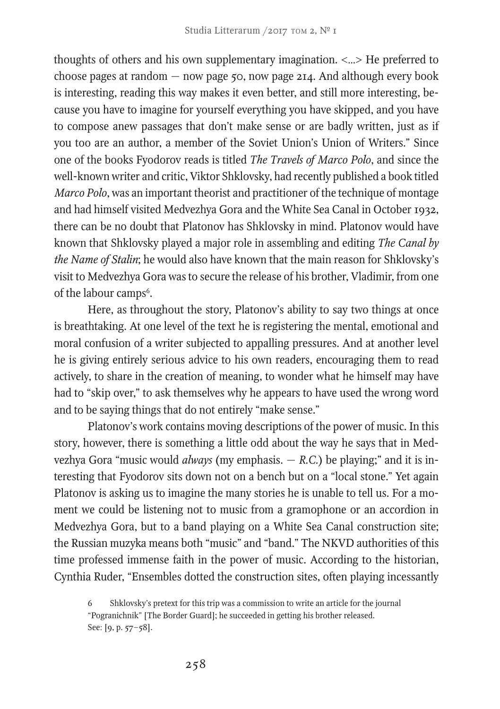thoughts of others and his own supplementary imagination. <…> He preferred to choose pages at random  $-$  now page  $\zeta$ , now page 214. And although every book is interesting, reading this way makes it even better, and still more interesting, because you have to imagine for yourself everything you have skipped, and you have to compose anew passages that don't make sense or are badly written, just as if you too are an author, a member of the Soviet Union's Union of Writers." Since one of the books Fyodorov reads is titled *The Travels of Marco Polo*, and since the well-known writer and critic, Viktor Shklovsky, had recently published a book titled *Marco Polo*, was an important theorist and practitioner of the technique of montage and had himself visited Medvezhya Gora and the White Sea Canal in October 1932, there can be no doubt that Platonov has Shklovsky in mind. Platonov would have known that Shklovsky played a major role in assembling and editing *The Canal by the Name of Stalin*; he would also have known that the main reason for Shklovsky's visit to Medvezhya Gora was to secure the release of his brother, Vladimir, from one of the labour camps<sup>6</sup>.

Here, as throughout the story, Platonov's ability to say two things at once is breathtaking. At one level of the text he is registering the mental, emotional and moral confusion of a writer subjected to appalling pressures. And at another level he is giving entirely serious advice to his own readers, encouraging them to read actively, to share in the creation of meaning, to wonder what he himself may have had to "skip over," to ask themselves why he appears to have used the wrong word and to be saying things that do not entirely "make sense."

Platonov's work contains moving descriptions of the power of music. In this story, however, there is something a little odd about the way he says that in Medvezhya Gora "music would *always* (my emphasis. — *R.C.*) be playing;" and it is interesting that Fyodorov sits down not on a bench but on a "local stone." Yet again Platonov is asking us to imagine the many stories he is unable to tell us. For a moment we could be listening not to music from a gramophone or an accordion in Medvezhya Gora, but to a band playing on a White Sea Canal construction site; the Russian muzyka means both "music" and "band." The NKVD authorities of this time professed immense faith in the power of music. According to the historian, Cynthia Ruder, "Ensembles dotted the construction sites, often playing incessantly

<sup>6</sup> Shklovsky's pretext for this trip was a commission to write an article for the journal "Pogranichnik" [The Border Guard]; he succeeded in getting his brother released. See: [9, p. 57–58].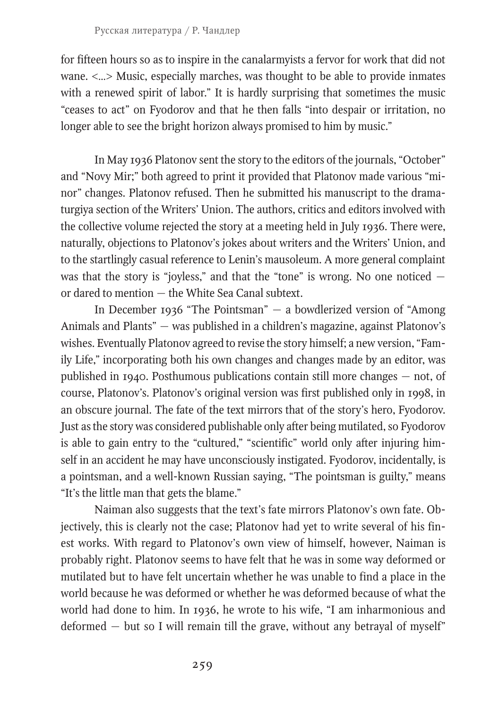for fifteen hours so as to inspire in the canalarmyists a fervor for work that did not wane. <…> Music, especially marches, was thought to be able to provide inmates with a renewed spirit of labor." It is hardly surprising that sometimes the music "ceases to act" on Fyodorov and that he then falls "into despair or irritation, no longer able to see the bright horizon always promised to him by music."

In May 1936 Platonov sent the story to the editors of the journals, "October" and "Novy Mir;" both agreed to print it provided that Platonov made various "minor" changes. Platonov refused. Then he submitted his manuscript to the dramaturgiya section of the Writers' Union. The authors, critics and editors involved with the collective volume rejected the story at a meeting held in July 1936. There were, naturally, objections to Platonov's jokes about writers and the Writers' Union, and to the startlingly casual reference to Lenin's mausoleum. A more general complaint was that the story is "joyless," and that the "tone" is wrong. No one noticed  $$ or dared to mention — the White Sea Canal subtext.

In December 1936 "The Pointsman" — a bowdlerized version of "Among Animals and Plants" — was published in a children's magazine, against Platonov's wishes. Eventually Platonov agreed to revise the story himself; a new version, "Family Life," incorporating both his own changes and changes made by an editor, was published in 1940. Posthumous publications contain still more changes — not, of course, Platonov's. Platonov's original version was first published only in 1998, in an obscure journal. The fate of the text mirrors that of the story's hero, Fyodorov. Just as the story was considered publishable only after being mutilated, so Fyodorov is able to gain entry to the "cultured," "scientific" world only after injuring himself in an accident he may have unconsciously instigated. Fyodorov, incidentally, is a pointsman, and a well-known Russian saying, "The pointsman is guilty," means "It's the little man that gets the blame."

Naiman also suggests that the text's fate mirrors Platonov's own fate. Objectively, this is clearly not the case; Platonov had yet to write several of his finest works. With regard to Platonov's own view of himself, however, Naiman is probably right. Platonov seems to have felt that he was in some way deformed or mutilated but to have felt uncertain whether he was unable to find a place in the world because he was deformed or whether he was deformed because of what the world had done to him. In 1936, he wrote to his wife, "I am inharmonious and deformed  $-$  but so I will remain till the grave, without any betrayal of myself"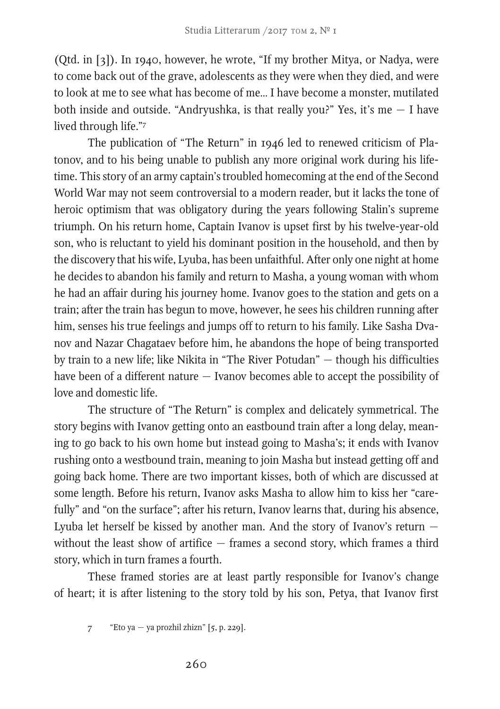(Qtd. in [3]). In 1940, however, he wrote, "If my brother Mitya, or Nadya, were to come back out of the grave, adolescents as they were when they died, and were to look at me to see what has become of me… I have become a monster, mutilated both inside and outside. "Andryushka, is that really you?" Yes, it's me  $-$  I have lived through life."7

The publication of "The Return" in 1946 led to renewed criticism of Platonov, and to his being unable to publish any more original work during his lifetime. This story of an army captain's troubled homecoming at the end of the Second World War may not seem controversial to a modern reader, but it lacks the tone of heroic optimism that was obligatory during the years following Stalin's supreme triumph. On his return home, Captain Ivanov is upset first by his twelve-year-old son, who is reluctant to yield his dominant position in the household, and then by the discovery that his wife, Lyuba, has been unfaithful. After only one night at home he decides to abandon his family and return to Masha, a young woman with whom he had an affair during his journey home. Ivanov goes to the station and gets on a train; after the train has begun to move, however, he sees his children running after him, senses his true feelings and jumps off to return to his family. Like Sasha Dvanov and Nazar Chagataev before him, he abandons the hope of being transported by train to a new life; like Nikita in "The River Potudan" — though his difficulties have been of a different nature — Ivanov becomes able to accept the possibility of love and domestic life.

The structure of "The Return" is complex and delicately symmetrical. The story begins with Ivanov getting onto an eastbound train after a long delay, meaning to go back to his own home but instead going to Masha's; it ends with Ivanov rushing onto a westbound train, meaning to join Masha but instead getting off and going back home. There are two important kisses, both of which are discussed at some length. Before his return, Ivanov asks Masha to allow him to kiss her "carefully" and "on the surface"; after his return, Ivanov learns that, during his absence, Lyuba let herself be kissed by another man. And the story of Ivanov's return without the least show of artifice — frames a second story, which frames a third story, which in turn frames a fourth.

These framed stories are at least partly responsible for Ivanov's change of heart; it is after listening to the story told by his son, Petya, that Ivanov first

 $\frac{1}{7}$  "Eto ya — ya prozhil zhizn" [5, p. 229].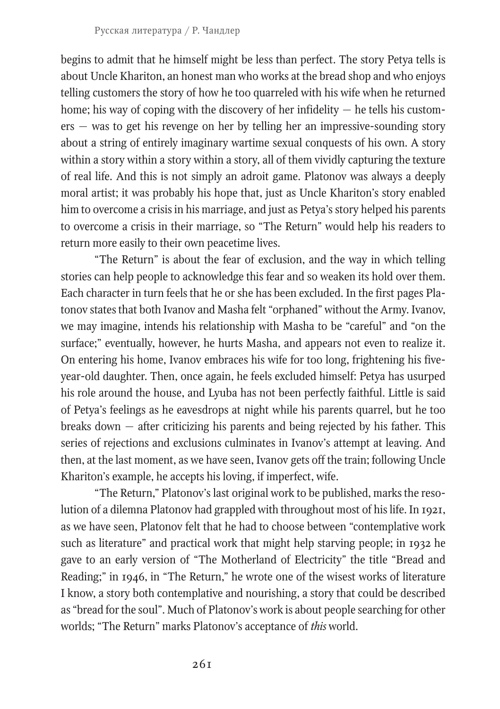begins to admit that he himself might be less than perfect. The story Petya tells is about Uncle Khariton, an honest man who works at the bread shop and who enjoys telling customers the story of how he too quarreled with his wife when he returned home; his way of coping with the discovery of her infidelity — he tells his customers — was to get his revenge on her by telling her an impressive-sounding story about a string of entirely imaginary wartime sexual conquests of his own. A story within a story within a story within a story, all of them vividly capturing the texture of real life. And this is not simply an adroit game. Platonov was always a deeply moral artist; it was probably his hope that, just as Uncle Khariton's story enabled him to overcome a crisis in his marriage, and just as Petya's story helped his parents to overcome a crisis in their marriage, so "The Return" would help his readers to return more easily to their own peacetime lives.

"The Return" is about the fear of exclusion, and the way in which telling stories can help people to acknowledge this fear and so weaken its hold over them. Each character in turn feels that he or she has been excluded. In the first pages Platonov states that both Ivanov and Masha felt "orphaned" without the Army. Ivanov, we may imagine, intends his relationship with Masha to be "careful" and "on the surface;" eventually, however, he hurts Masha, and appears not even to realize it. On entering his home, Ivanov embraces his wife for too long, frightening his fiveyear-old daughter. Then, once again, he feels excluded himself: Petya has usurped his role around the house, and Lyuba has not been perfectly faithful. Little is said of Petya's feelings as he eavesdrops at night while his parents quarrel, but he too breaks down  $-$  after criticizing his parents and being rejected by his father. This series of rejections and exclusions culminates in Ivanov's attempt at leaving. And then, at the last moment, as we have seen, Ivanov gets off the train; following Uncle Khariton's example, he accepts his loving, if imperfect, wife.

"The Return," Platonov's last original work to be published, marks the resolution of a dilemna Platonov had grappled with throughout most of his life. In 1921, as we have seen, Platonov felt that he had to choose between "contemplative work such as literature" and practical work that might help starving people; in 1932 he gave to an early version of "The Motherland of Electricity" the title "Bread and Reading;" in 1946, in "The Return," he wrote one of the wisest works of literature I know, a story both contemplative and nourishing, a story that could be described as "bread for the soul". Much of Platonov's work is about people searching for other worlds; "The Return" marks Platonov's acceptance of *this* world.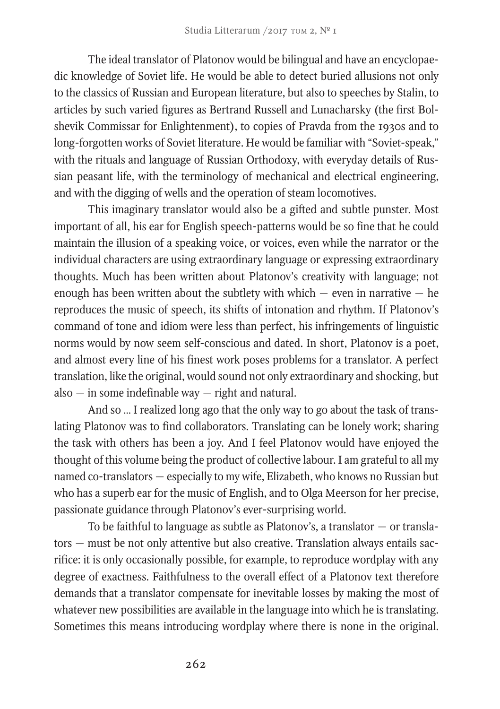The ideal translator of Platonov would be bilingual and have an encyclopaedic knowledge of Soviet life. He would be able to detect buried allusions not only to the classics of Russian and European literature, but also to speeches by Stalin, to articles by such varied figures as Bertrand Russell and Lunacharsky (the first Bolshevik Commissar for Enlightenment), to copies of Pravda from the 1930s and to long-forgotten works of Soviet literature. He would be familiar with "Soviet-speak," with the rituals and language of Russian Orthodoxy, with everyday details of Russian peasant life, with the terminology of mechanical and electrical engineering, and with the digging of wells and the operation of steam locomotives.

This imaginary translator would also be a gifted and subtle punster. Most important of all, his ear for English speech-patterns would be so fine that he could maintain the illusion of a speaking voice, or voices, even while the narrator or the individual characters are using extraordinary language or expressing extraordinary thoughts. Much has been written about Platonov's creativity with language; not enough has been written about the subtlety with which  $-$  even in narrative  $-$  he reproduces the music of speech, its shifts of intonation and rhythm. If Platonov's command of tone and idiom were less than perfect, his infringements of linguistic norms would by now seem self-conscious and dated. In short, Platonov is a poet, and almost every line of his finest work poses problems for a translator. A perfect translation, like the original, would sound not only extraordinary and shocking, but  $also$  — in some indefinable way — right and natural.

And so … I realized long ago that the only way to go about the task of translating Platonov was to find collaborators. Translating can be lonely work; sharing the task with others has been a joy. And I feel Platonov would have enjoyed the thought of this volume being the product of collective labour. I am grateful to all my named co-translators — especially to my wife, Elizabeth, who knows no Russian but who has a superb ear for the music of English, and to Olga Meerson for her precise, passionate guidance through Platonov's ever-surprising world.

To be faithful to language as subtle as Platonov's, a translator  $-$  or translators — must be not only attentive but also creative. Translation always entails sacrifice: it is only occasionally possible, for example, to reproduce wordplay with any degree of exactness. Faithfulness to the overall effect of a Platonov text therefore demands that a translator compensate for inevitable losses by making the most of whatever new possibilities are available in the language into which he is translating. Sometimes this means introducing wordplay where there is none in the original.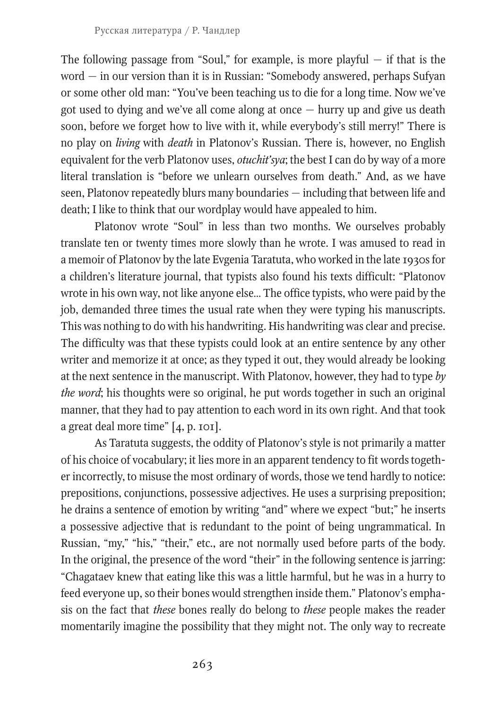The following passage from "Soul," for example, is more playful  $-$  if that is the word — in our version than it is in Russian: "Somebody answered, perhaps Sufyan or some other old man: "You've been teaching us to die for a long time. Now we've got used to dying and we've all come along at once — hurry up and give us death soon, before we forget how to live with it, while everybody's still merry!" There is no play on *living* with *death* in Platonov's Russian. There is, however, no English equivalent for the verb Platonov uses, *otuchit'sya*; the best I can do by way of a more literal translation is "before we unlearn ourselves from death." And, as we have seen, Platonov repeatedly blurs many boundaries — including that between life and death; I like to think that our wordplay would have appealed to him.

Platonov wrote "Soul" in less than two months. We ourselves probably translate ten or twenty times more slowly than he wrote. I was amused to read in a memoir of Platonov by the late Evgenia Taratuta, who worked in the late 1930s for a children's literature journal, that typists also found his texts difficult: "Platonov wrote in his own way, not like anyone else… The office typists, who were paid by the job, demanded three times the usual rate when they were typing his manuscripts. This was nothing to do with his handwriting. His handwriting was clear and precise. The difficulty was that these typists could look at an entire sentence by any other writer and memorize it at once; as they typed it out, they would already be looking at the next sentence in the manuscript. With Platonov, however, they had to type *by the word*; his thoughts were so original, he put words together in such an original manner, that they had to pay attention to each word in its own right. And that took a great deal more time" [4, p. 101].

As Taratuta suggests, the oddity of Platonov's style is not primarily a matter of his choice of vocabulary; it lies more in an apparent tendency to fit words together incorrectly, to misuse the most ordinary of words, those we tend hardly to notice: prepositions, conjunctions, possessive adjectives. He uses a surprising preposition; he drains a sentence of emotion by writing "and" where we expect "but;" he inserts a possessive adjective that is redundant to the point of being ungrammatical. In Russian, "my," "his," "their," etc., are not normally used before parts of the body. In the original, the presence of the word "their" in the following sentence is jarring: "Chagataev knew that eating like this was a little harmful, but he was in a hurry to feed everyone up, so their bones would strengthen inside them." Platonov's emphasis on the fact that *these* bones really do belong to *these* people makes the reader momentarily imagine the possibility that they might not. The only way to recreate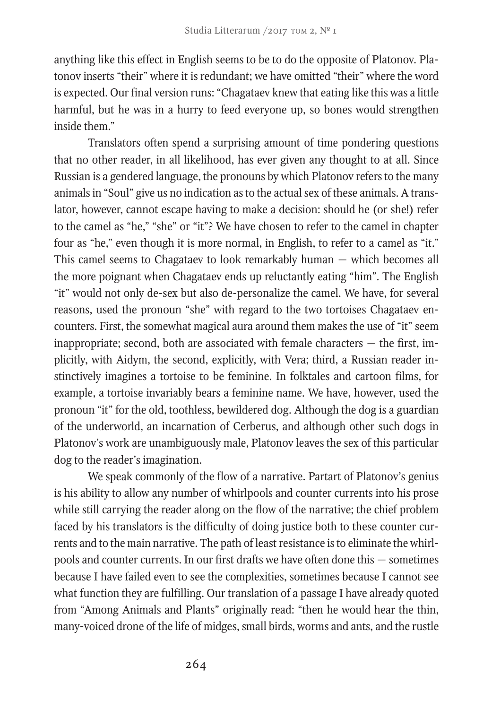anything like this effect in English seems to be to do the opposite of Platonov. Platonov inserts "their" where it is redundant; we have omitted "their" where the word is expected. Our final version runs: "Chagataev knew that eating like this was a little harmful, but he was in a hurry to feed everyone up, so bones would strengthen inside them."

Translators often spend a surprising amount of time pondering questions that no other reader, in all likelihood, has ever given any thought to at all. Since Russian is a gendered language, the pronouns by which Platonov refers to the many animals in "Soul" give us no indication as to the actual sex of these animals. A translator, however, cannot escape having to make a decision: should he (or she!) refer to the camel as "he," "she" or "it"? We have chosen to refer to the camel in chapter four as "he," even though it is more normal, in English, to refer to a camel as "it." This camel seems to Chagataev to look remarkably human — which becomes all the more poignant when Chagataev ends up reluctantly eating "him". The English "it" would not only de-sex but also de-personalize the camel. We have, for several reasons, used the pronoun "she" with regard to the two tortoises Chagataev encounters. First, the somewhat magical aura around them makes the use of "it" seem inappropriate; second, both are associated with female characters  $-$  the first, implicitly, with Aidym, the second, explicitly, with Vera; third, a Russian reader instinctively imagines a tortoise to be feminine. In folktales and cartoon films, for example, a tortoise invariably bears a feminine name. We have, however, used the pronoun "it" for the old, toothless, bewildered dog. Although the dog is a guardian of the underworld, an incarnation of Cerberus, and although other such dogs in Platonov's work are unambiguously male, Platonov leaves the sex of this particular dog to the reader's imagination.

We speak commonly of the flow of a narrative. Partart of Platonov's genius is his ability to allow any number of whirlpools and counter currents into his prose while still carrying the reader along on the flow of the narrative; the chief problem faced by his translators is the difficulty of doing justice both to these counter currents and to the main narrative. The path of least resistance is to eliminate the whirlpools and counter currents. In our first drafts we have often done this — sometimes because I have failed even to see the complexities, sometimes because I cannot see what function they are fulfilling. Our translation of a passage I have already quoted from "Among Animals and Plants" originally read: "then he would hear the thin, many-voiced drone of the life of midges, small birds, worms and ants, and the rustle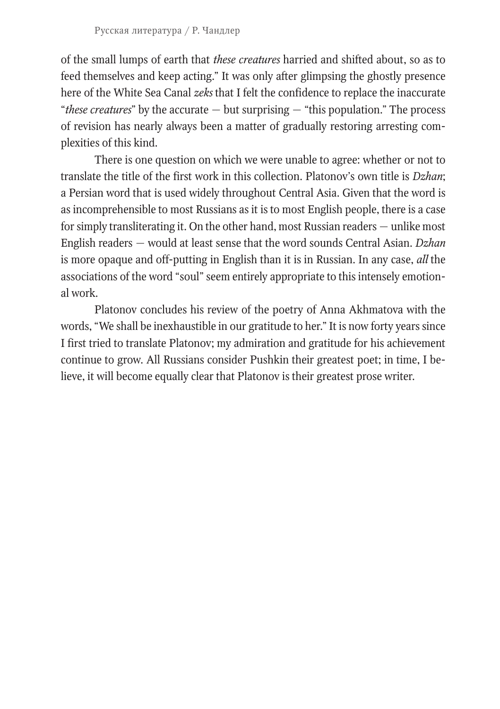of the small lumps of earth that *these creatures* harried and shifted about, so as to feed themselves and keep acting." It was only after glimpsing the ghostly presence here of the White Sea Canal *zeks* that I felt the confidence to replace the inaccurate "*these creatures*" by the accurate — but surprising — "this population." The process of revision has nearly always been a matter of gradually restoring arresting complexities of this kind.

There is one question on which we were unable to agree: whether or not to translate the title of the first work in this collection. Platonov's own title is *Dzhan*; a Persian word that is used widely throughout Central Asia. Given that the word is as incomprehensible to most Russians as it is to most English people, there is a case for simply transliterating it. On the other hand, most Russian readers — unlike most English readers — would at least sense that the word sounds Central Asian. *Dzhan*  is more opaque and off-putting in English than it is in Russian. In any case, *all* the associations of the word "soul" seem entirely appropriate to this intensely emotional work.

Platonov concludes his review of the poetry of Anna Akhmatova with the words, "We shall be inexhaustible in our gratitude to her." It is now forty years since I first tried to translate Platonov; my admiration and gratitude for his achievement continue to grow. All Russians consider Pushkin their greatest poet; in time, I believe, it will become equally clear that Platonov is their greatest prose writer.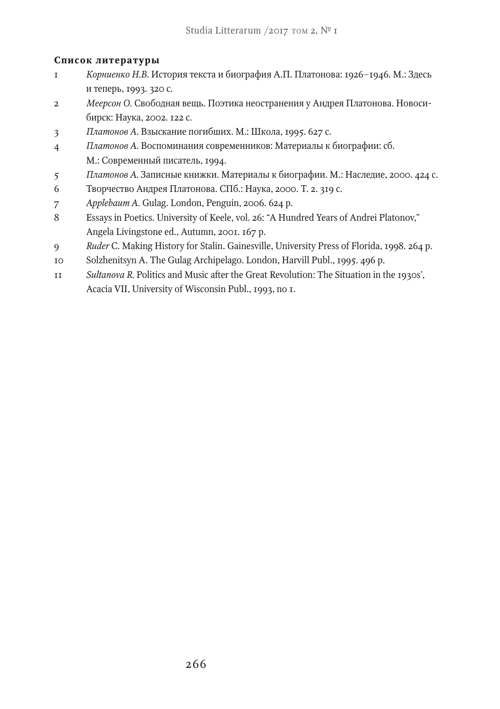### **Список литературы**

- *Корниенко Н.В.* История текста и биография А.П. Платонова: 1926–1946. М.: Здесь и теперь, 1993. 320 с.
- *Меерсон О.* Свободная вещь. Поэтика неостранения у Андрея Платонова. Новосибирск: Наука, 2002. 122 с.
- *Платонов А.* Взыскание погибших. М.: Школа, 1995. 627 с.
- *Платонов А.* Воспоминания современников: Материалы к биографии: сб. М.: Современный писатель, 1994.
- *Платонов А.* Записные книжки. Материалы к биографии. М.: Наследие, 2000. 424 с.
- Творчество Андрея Платонова. СПб.: Наука, 2000. Т. 2. 319 с.
- *Applebaum A.* Gulag. London, Penguin, 2006. 624 p.
- Essays in Poetics. University of Keele, vol. 26: "A Hundred Years of Andrei Platonov," Angela Livingstone ed., Autumn, 2001. 167 p.
- *Ruder* C. Making History for Stalin. Gainesville, University Press of Florida, 1998. 264 p.
- Solzhenitsyn A. The Gulag Archipelago. London, Harvill Publ., 1995. 496 p.
- *Sultanova R.* Politics and Music after the Great Revolution: The Situation in the 1930s', Acacia VII, University of Wisconsin Publ., 1993, no 1.